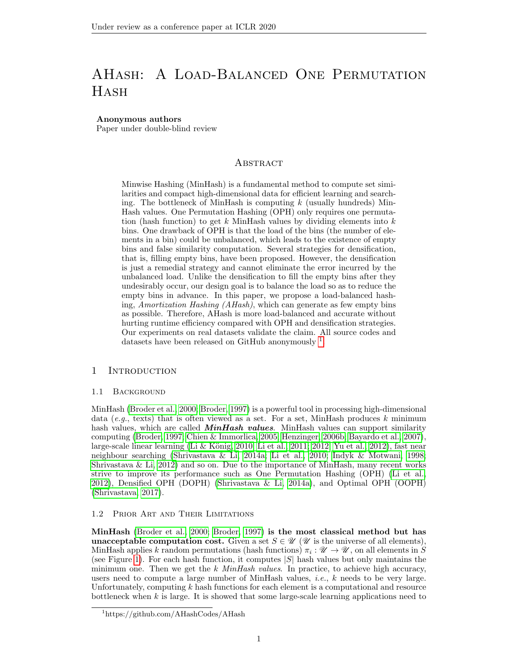# AHash: A Load-Balanced One Permutation **HASH**

# Anonymous authors

Paper under double-blind review

# **ABSTRACT**

Minwise Hashing (MinHash) is a fundamental method to compute set similarities and compact high-dimensional data for efficient learning and searching. The bottleneck of MinHash is computing  $k$  (usually hundreds) Min-Hash values. One Permutation Hashing (OPH) only requires one permutation (hash function) to get  $k$  MinHash values by dividing elements into  $k$ bins. One drawback of OPH is that the load of the bins (the number of elements in a bin) could be unbalanced, which leads to the existence of empty bins and false similarity computation. Several strategies for densification, that is, filling empty bins, have been proposed. However, the densification is just a remedial strategy and cannot eliminate the error incurred by the unbalanced load. Unlike the densification to fill the empty bins after they undesirably occur, our design goal is to balance the load so as to reduce the empty bins in advance. In this paper, we propose a load-balanced hashing, Amortization Hashing (AHash), which can generate as few empty bins as possible. Therefore, AHash is more load-balanced and accurate without hurting runtime efficiency compared with OPH and densification strategies. Our experiments on real datasets validate the claim. All source codes and datasets have been released on GitHub anonymously <sup>[1](#page-0-0)</sup>.

# 1 Introduction

### 1.1 Background

MinHash [\(Broder et al., 2000;](#page-8-0) [Broder, 1997\)](#page-8-1) is a powerful tool in processing high-dimensional data (e.g., texts) that is often viewed as a set. For a set, MinHash produces k minimum hash values, which are called  $MinHash$  values. MinHash values can support similarity computing [\(Broder, 1997;](#page-8-1) [Chien & Immorlica, 2005;](#page-8-2) [Henzinger, 2006b;](#page-8-3) [Bayardo et al., 2007\)](#page-8-4), large-scale linear learning (Li & König, 2010; [Li et al., 2011;](#page-9-0) [2012;](#page-9-1) [Yu et al., 2012\)](#page-9-2), fast near neighbour searching [\(Shrivastava & Li, 2014a;](#page-9-3) [Li et al., 2010;](#page-9-4) [Indyk & Motwani, 1998;](#page-8-6) [Shrivastava & Li, 2012\)](#page-9-5) and so on. Due to the importance of MinHash, many recent works strive to improve its performance such as One Permutation Hashing (OPH) [\(Li et al.,](#page-9-1) [2012\)](#page-9-1), Densified OPH (DOPH) [\(Shrivastava & Li, 2014a\)](#page-9-3), and Optimal OPH (OOPH) [\(Shrivastava, 2017\)](#page-9-6).

## 1.2 Prior Art and Their Limitations

MinHash [\(Broder et al., 2000;](#page-8-0) [Broder, 1997\)](#page-8-1) is the most classical method but has **unacceptable computation cost.** Given a set  $S \in \mathcal{U}$  ( $\mathcal{U}$  is the universe of all elements), MinHash applies k random permutations (hash functions)  $\pi_i : \mathscr{U} \to \mathscr{U}$ , on all elements in S (see Figure [1\)](#page-1-0). For each hash function, it computes  $|S|$  hash values but only maintains the minimum one. Then we get the k  $MinHash$  values. In practice, to achieve high accuracy, users need to compute a large number of MinHash values, i.e., k needs to be very large. Unfortunately, computing k hash functions for each element is a computational and resource bottleneck when  $k$  is large. It is showed that some large-scale learning applications need to

<span id="page-0-0"></span><sup>1</sup>https://github.com/AHashCodes/AHash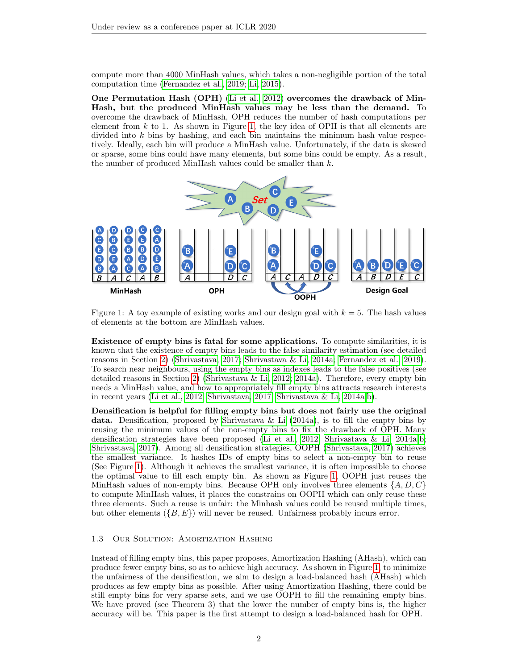compute more than 4000 MinHash values, which takes a non-negligible portion of the total computation time [\(Fernandez et al., 2019;](#page-8-7) [Li, 2015\)](#page-8-8).

One Permutation Hash (OPH) [\(Li et al., 2012\)](#page-9-1) overcomes the drawback of Min-Hash, but the produced MinHash values may be less than the demand. To overcome the drawback of MinHash, OPH reduces the number of hash computations per element from  $k$  to 1. As shown in Figure [1,](#page-1-0) the key idea of OPH is that all elements are divided into  $k$  bins by hashing, and each bin maintains the minimum hash value respectively. Ideally, each bin will produce a MinHash value. Unfortunately, if the data is skewed or sparse, some bins could have many elements, but some bins could be empty. As a result, the number of produced MinHash values could be smaller than  $k$ .



<span id="page-1-0"></span>Figure 1: A toy example of existing works and our design goal with  $k = 5$ . The hash values of elements at the bottom are MinHash values.

Existence of empty bins is fatal for some applications. To compute similarities, it is known that the existence of empty bins leads to the false similarity estimation (see detailed reasons in Section [2\)](#page-2-0) [\(Shrivastava, 2017;](#page-9-6) [Shrivastava & Li, 2014a;](#page-9-3) [Fernandez et al., 2019\)](#page-8-7). To search near neighbours, using the empty bins as indexes leads to the false positives (see detailed reasons in Section [2\)](#page-2-0) [\(Shrivastava & Li, 2012;](#page-9-5) [2014a\)](#page-9-3). Therefore, every empty bin needs a MinHash value, and how to appropriately fill empty bins attracts research interests in recent years [\(Li et al., 2012;](#page-9-1) [Shrivastava, 2017;](#page-9-6) [Shrivastava & Li, 2014a;](#page-9-3)[b\)](#page-9-7).

Densification is helpful for filling empty bins but does not fairly use the original data. Densification, proposed by [Shrivastava & Li](#page-9-3)  $(2014a)$ , is to fill the empty bins by reusing the minimum values of the non-empty bins to fix the drawback of OPH. Many densification strategies have been proposed [\(Li et al., 2012;](#page-9-1) [Shrivastava & Li, 2014a;](#page-9-3)[b;](#page-9-7) [Shrivastava, 2017\)](#page-9-6). Among all densification strategies, OOPH [\(Shrivastava, 2017\)](#page-9-6) achieves the smallest variance. It hashes IDs of empty bins to select a non-empty bin to reuse (See Figure [1\)](#page-1-0). Although it achieves the smallest variance, it is often impossible to choose the optimal value to fill each empty bin. As shown as Figure [1,](#page-1-0) OOPH just reuses the MinHash values of non-empty bins. Because OPH only involves three elements  $\{A, D, C\}$ to compute MinHash values, it places the constrains on OOPH which can only reuse these three elements. Such a reuse is unfair: the Minhash values could be reused multiple times, but other elements  $({B, E})$  will never be reused. Unfairness probably incurs error.

# 1.3 Our Solution: Amortization Hashing

Instead of filling empty bins, this paper proposes, Amortization Hashing (AHash), which can produce fewer empty bins, so as to achieve high accuracy. As shown in Figure [1,](#page-1-0) to minimize the unfairness of the densification, we aim to design a load-balanced hash (AHash) which produces as few empty bins as possible. After using Amortization Hashing, there could be still empty bins for very sparse sets, and we use OOPH to fill the remaining empty bins. We have proved (see Theorem 3) that the lower the number of empty bins is, the higher accuracy will be. This paper is the first attempt to design a load-balanced hash for OPH.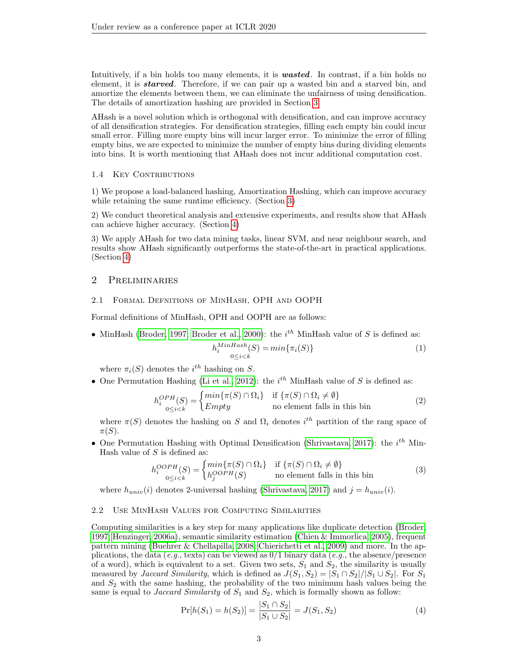Intuitively, if a bin holds too many elements, it is **wasted**. In contrast, if a bin holds no element, it is **starved**. Therefore, if we can pair up a wasted bin and a starved bin, and amortize the elements between them, we can eliminate the unfairness of using densification. The details of amortization hashing are provided in Section [3.](#page-4-0)

AHash is a novel solution which is orthogonal with densification, and can improve accuracy of all densification strategies. For densification strategies, filling each empty bin could incur small error. Filling more empty bins will incur larger error. To minimize the error of filling empty bins, we are expected to minimize the number of empty bins during dividing elements into bins. It is worth mentioning that AHash does not incur additional computation cost.

# 1.4 KEY CONTRIBUTIONS

1) We propose a load-balanced hashing, Amortization Hashing, which can improve accuracy while retaining the same runtime efficiency. (Section [3\)](#page-4-0)

2) We conduct theoretical analysis and extensive experiments, and results show that AHash can achieve higher accuracy. (Section [4\)](#page-5-0)

3) We apply AHash for two data mining tasks, linear SVM, and near neighbour search, and results show AHash significantly outperforms the state-of-the-art in practical applications. (Section [4\)](#page-5-0)

# <span id="page-2-0"></span>2 Preliminaries

# 2.1 Formal Defnitions of MinHash, OPH and OOPH

Formal definitions of MinHash, OPH and OOPH are as follows:

• MinHash [\(Broder, 1997;](#page-8-1) [Broder et al., 2000\)](#page-8-0): the  $i<sup>th</sup>$  MinHash value of S is defined as:

$$
h_i^{\operatorname{MinHash}}(S) = \min\{\pi_i(S)\}\tag{1}
$$

where  $\pi_i(S)$  denotes the  $i^{th}$  hashing on S.

• One Permutation Hashing [\(Li et al., 2012\)](#page-9-1): the  $i<sup>th</sup>$  MinHash value of S is defined as:

$$
h_i^{OPH}(S) = \begin{cases} min\{\pi(S) \cap \Omega_i\} & \text{if } \{\pi(S) \cap \Omega_i \neq \emptyset\} \\ Empty & \text{no element falls in this bin} \end{cases}
$$
(2)

where  $\pi(S)$  denotes the hashing on S and  $\Omega_i$  denotes  $i^{th}$  partition of the rang space of  $\pi(S)$ .

• One Permutation Hashing with Optimal Densification [\(Shrivastava, 2017\)](#page-9-6): the  $i^{th}$  Min-Hash value of  $S$  is defined as:

$$
h_i^{OOPH}(S) = \begin{cases} min\{\pi(S) \cap \Omega_i\} & \text{if } \{\pi(S) \cap \Omega_i \neq \emptyset\} \\ h_j^{OOPH}(S) & \text{no element falls in this bin} \end{cases}
$$
(3)

where  $h_{univ}(i)$  denotes 2-universal hashing [\(Shrivastava, 2017\)](#page-9-6) and  $j = h_{univ}(i)$ .

## 2.2 Use MinHash Values for Computing Similarities

Computing similarities is a key step for many applications like duplicate detection [\(Broder,](#page-8-1) [1997;](#page-8-1) [Henzinger, 2006a\)](#page-8-9), semantic similarity estimation [\(Chien & Immorlica, 2005\)](#page-8-2), frequent pattern mining [\(Buehrer & Chellapilla, 2008;](#page-8-10) [Chierichetti et al., 2009\)](#page-8-11) and more. In the applications, the data (e.g., texts) can be viewed as  $0/1$  binary data (e.g., the absence/presence of a word), which is equivalent to a set. Given two sets,  $S_1$  and  $S_2$ , the similarity is usually measured by *Jaccard Similarity*, which is defined as  $J(S_1, S_2) = |S_1 \cap S_2|/|S_1 \cup S_2|$ . For  $S_1$ . and  $S_2$  with the same hashing, the probability of the two minimum hash values being the same is equal to *Jaccard Similarity* of  $S_1$  and  $S_2$ , which is formally shown as follow:

$$
\Pr[h(S_1) = h(S_2)] = \frac{|S_1 \cap S_2|}{|S_1 \cup S_2|} = J(S_1, S_2)
$$
\n(4)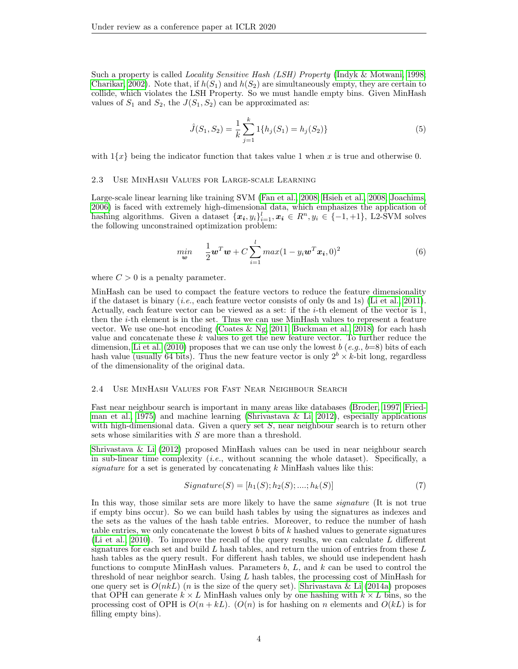Such a property is called *Locality Sensitive Hash (LSH) Property* [\(Indyk & Motwani, 1998;](#page-8-6) [Charikar, 2002\)](#page-8-12). Note that, if  $h(S_1)$  and  $h(S_2)$  are simultaneously empty, they are certain to collide, which violates the LSH Property. So we must handle empty bins. Given MinHash values of  $S_1$  and  $S_2$ , the  $J(S_1, S_2)$  can be approximated as:

$$
\hat{J}(S_1, S_2) = \frac{1}{k} \sum_{j=1}^{k} 1\{h_j(S_1) = h_j(S_2)\}\tag{5}
$$

with  $1\{x\}$  being the indicator function that takes value 1 when x is true and otherwise 0.

#### 2.3 Use MinHash Values for Large-scale Learning

Large-scale linear learning like training SVM [\(Fan et al., 2008;](#page-8-13) [Hsieh et al., 2008;](#page-8-14) [Joachims,](#page-8-15) [2006\)](#page-8-15) is faced with extremely high-dimensional data, which emphasizes the application of hashing algorithms. Given a dataset  $\{x_i, y_i\}_{i=1}^l, x_i \in \mathbb{R}^n, y_i \in \{-1, +1\}$ , L2-SVM solves the following unconstrained optimization problem:

$$
\min_{\mathbf{w}} \quad \frac{1}{2} \mathbf{w}^T \mathbf{w} + C \sum_{i=1}^l \max(1 - y_i \mathbf{w}^T \mathbf{x}_i, 0)^2 \tag{6}
$$

where  $C > 0$  is a penalty parameter.

MinHash can be used to compact the feature vectors to reduce the feature dimensionality if the dataset is binary  $(i.e., each feature vector consists of only 0s and 1s)$  [\(Li et al., 2011\)](#page-9-0). Actually, each feature vector can be viewed as a set: if the i-th element of the vector is 1, then the  $i$ -th element is in the set. Thus we can use MinHash values to represent a feature vector. We use one-hot encoding [\(Coates & Ng, 2011;](#page-8-16) [Buckman et al., 2018\)](#page-8-17) for each hash value and concatenate these  $k$  values to get the new feature vector. To further reduce the dimension, [Li et al.](#page-9-4) [\(2010\)](#page-9-4) proposes that we can use only the lowest b  $(e.g., b=8)$  bits of each hash value (usually 64 bits). Thus the new feature vector is only  $2^b \times k$ -bit long, regardless of the dimensionality of the original data.

#### 2.4 Use MinHash Values for Fast Near Neighbour Search

Fast near neighbour search is important in many areas like databases [\(Broder, 1997;](#page-8-1) [Fried](#page-8-18)[man et al., 1975\)](#page-8-18) and machine learning [\(Shrivastava & Li, 2012\)](#page-9-5), especially applications with high-dimensional data. Given a query set  $S$ , near neighbour search is to return other sets whose similarities with S are more than a threshold.

[Shrivastava & Li](#page-9-5) [\(2012\)](#page-9-5) proposed MinHash values can be used in near neighbour search in sub-linear time complexity  $(i.e.,$  without scanning the whole dataset). Specifically, a signature for a set is generated by concatenating  $k$  MinHash values like this:

$$
Signature(S) = [h_1(S); h_2(S); \dots; h_k(S)] \tag{7}
$$

In this way, those similar sets are more likely to have the same *signature* (It is not true if empty bins occur). So we can build hash tables by using the signatures as indexes and the sets as the values of the hash table entries. Moreover, to reduce the number of hash table entries, we only concatenate the lowest  $b$  bits of  $k$  hashed values to generate signatures [\(Li et al., 2010\)](#page-9-4). To improve the recall of the query results, we can calculate L different signatures for each set and build  $L$  hash tables, and return the union of entries from these  $L$ hash tables as the query result. For different hash tables, we should use independent hash functions to compute MinHash values. Parameters  $b, L$ , and  $k$  can be used to control the threshold of near neighbor search. Using  $L$  hash tables, the processing cost of MinHash for one query set is  $O(nkL)$  (*n* is the size of the query set). [Shrivastava & Li](#page-9-3) [\(2014a\)](#page-9-3) proposes that OPH can generate  $k \times L$  MinHash values only by one hashing with  $k \times L$  bins, so the processing cost of OPH is  $O(n + kL)$ .  $(O(n)$  is for hashing on n elements and  $O(kL)$  is for filling empty bins).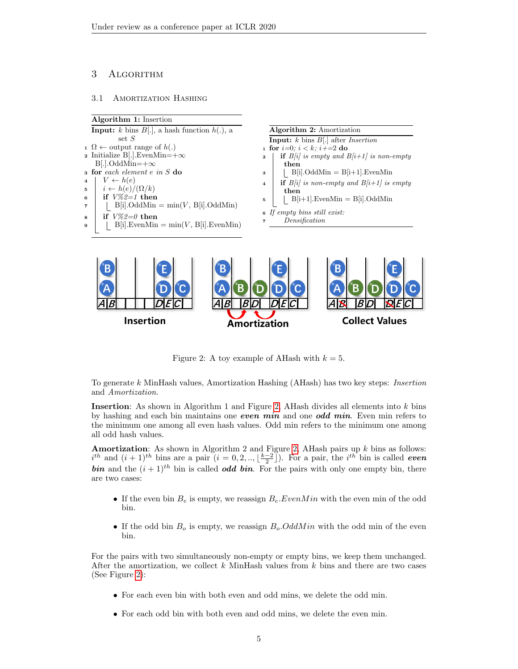# <span id="page-4-0"></span>3 Algorithm

### 3.1 Amortization Hashing

<span id="page-4-1"></span>**Insertion** 



**Collect Values** 

Figure 2: A toy example of AHash with  $k = 5$ .

Amortization

To generate k MinHash values, Amortization Hashing (AHash) has two key steps: Insertion and Amortization.

Insertion: As shown in Algorithm 1 and Figure [2,](#page-4-1) AHash divides all elements into  $k$  bins by hashing and each bin maintains one even min and one odd min. Even min refers to the minimum one among all even hash values. Odd min refers to the minimum one among all odd hash values.

**Amortization:** As shown in Algorithm 2 and Figure [2,](#page-4-1) AHash pairs up  $k$  bins as follows:  $i^{th}$  and  $(i + 1)^{th}$  bins are a pair  $(i = 0, 2, \ldots, \lfloor \frac{k-2}{2} \rfloor)$ . For a pair, the  $i^{th}$  bin is called *even* **bin** and the  $(i + 1)^{th}$  bin is called *odd* bin. For the pairs with only one empty bin, there are two cases:

- If the even bin  $B_e$  is empty, we reassign  $B_e$ . Even M in with the even min of the odd bin.
- If the odd bin  $B<sub>o</sub>$  is empty, we reassign  $B<sub>o</sub>$ . OddM in with the odd min of the even bin.

For the pairs with two simultaneously non-empty or empty bins, we keep them unchanged. After the amortization, we collect  $k$  MinHash values from  $k$  bins and there are two cases (See Figure [2\)](#page-4-1):

- For each even bin with both even and odd mins, we delete the odd min.
- For each odd bin with both even and odd mins, we delete the even min.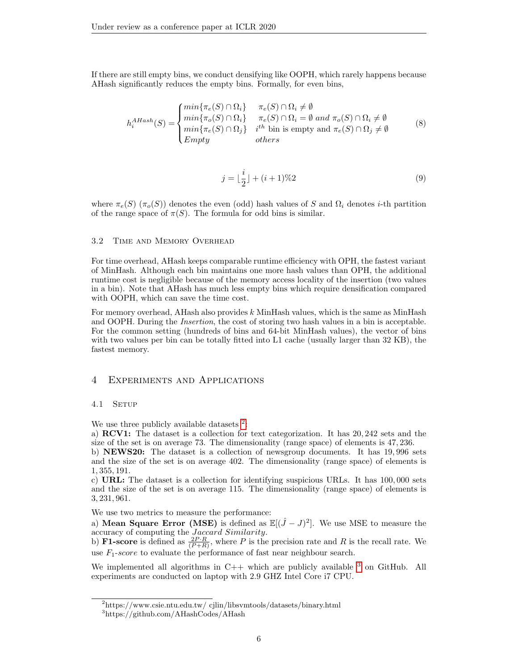If there are still empty bins, we conduct densifying like OOPH, which rarely happens because AHash significantly reduces the empty bins. Formally, for even bins,

$$
h_i^{AHash}(S) = \begin{cases} min\{\pi_e(S) \cap \Omega_i\} & \pi_e(S) \cap \Omega_i \neq \emptyset \\ min\{\pi_o(S) \cap \Omega_i\} & \pi_e(S) \cap \Omega_i = \emptyset \text{ and } \pi_o(S) \cap \Omega_i \neq \emptyset \\ min\{\pi_e(S) \cap \Omega_j\} & i^{th} \text{ bin is empty and } \pi_e(S) \cap \Omega_j \neq \emptyset \\ Empty & others \end{cases}
$$
(8)

$$
j = \lfloor \frac{i}{2} \rfloor + (i+1)\%2
$$
\n<sup>(9)</sup>

where  $\pi_e(S)$  ( $\pi_o(S)$ ) denotes the even (odd) hash values of S and  $\Omega_i$  denotes *i*-th partition of the range space of  $\pi(S)$ . The formula for odd bins is similar.

#### 3.2 Time and Memory Overhead

For time overhead, AHash keeps comparable runtime efficiency with OPH, the fastest variant of MinHash. Although each bin maintains one more hash values than OPH, the additional runtime cost is negligible because of the memory access locality of the insertion (two values in a bin). Note that AHash has much less empty bins which require densification compared with OOPH, which can save the time cost.

For memory overhead, AHash also provides k MinHash values, which is the same as MinHash and OOPH. During the Insertion, the cost of storing two hash values in a bin is acceptable. For the common setting (hundreds of bins and 64-bit MinHash values), the vector of bins with two values per bin can be totally fitted into L1 cache (usually larger than 32 KB), the fastest memory.

# <span id="page-5-0"></span>4 Experiments and Applications

# 4.1 SETUP

We use three publicly available datasets  $2$ :

a) RCV1: The dataset is a collection for text categorization. It has 20, 242 sets and the size of the set is on average 73. The dimensionality (range space) of elements is 47, 236.

b) NEWS20: The dataset is a collection of newsgroup documents. It has 19, 996 sets and the size of the set is on average 402. The dimensionality (range space) of elements is 1, 355, 191.

c) URL: The dataset is a collection for identifying suspicious URLs. It has 100, 000 sets and the size of the set is on average 115. The dimensionality (range space) of elements is 3, 231, 961.

We use two metrics to measure the performance:

a) Mean Square Error (MSE) is defined as  $\mathbb{E}[(\hat{J}-J)^2]$ . We use MSE to measure the accuracy of computing the Jaccard Similarity.

b) **F1-score** is defined as  $\frac{2P \cdot R}{(P+R)}$ , where P is the precision rate and R is the recall rate. We use  $F_1$ -score to evaluate the performance of fast near neighbour search.

We implemented all algorithms in  $C++$  which are publicly available  $3$  on GitHub. All experiments are conducted on laptop with 2.9 GHZ Intel Core i7 CPU.

<span id="page-5-1"></span><sup>2</sup>https://www.csie.ntu.edu.tw/ cjlin/libsvmtools/datasets/binary.html

<span id="page-5-2"></span> $^3$ https://github.com/AHashCodes/AHash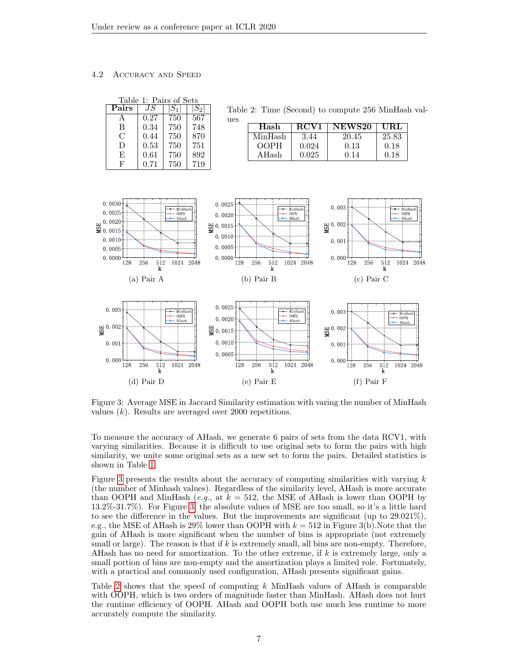# 4.2 Accuracy and Speed

<span id="page-6-0"></span>

| Table 1: Pairs of Sets |      |     |       |  |
|------------------------|------|-----|-------|--|
| Pairs                  | .I S |     | $S_2$ |  |
|                        | 0.27 | 750 | 567   |  |
| B                      | 0.34 | 750 | 748   |  |
| С                      | 0.44 | 750 | 870   |  |
| D                      | 0.53 | 750 | 751   |  |
| E                      | 0.61 | 750 | 892   |  |
| F                      | 0.71 | 750 | 719   |  |

<span id="page-6-2"></span>Table 2: Time (Second) to compute 256 MinHash val-

<span id="page-6-1"></span>

| Hash        | <b>RCV1</b> | <b>NEWS20</b> | URL   |
|-------------|-------------|---------------|-------|
| MinHash     | 3.44        | 20.45         | 25.83 |
| <b>OOPH</b> | 0.024       | 0.13          | 0.18  |
| AHash       | 0.025       | በ 14          | 0.18  |



ues

Figure 3: Average MSE in Jaccard Similarity estimation with varing the number of MinHash values  $(k)$ . Results are averaged over 2000 repetitions.

To measure the accuracy of AHash, we generate 6 pairs of sets from the data RCV1, with varying similarities. Because it is difficult to use original sets to form the pairs with high similarity, we unite some original sets as a new set to form the pairs. Detailed statistics is shown in Table [1.](#page-6-0)

Figure [3](#page-6-1) presents the results about the accuracy of computing similarities with varying  $k$ (the number of Minhash values). Regardless of the similarity level, AHash is more accurate than OOPH and MinHash (e.g., at  $k = 512$ , the MSE of AHash is lower than OOPH by 13.2%-31.7%). For Figure [3,](#page-6-1) the absolute values of MSE are too small, so it's a little hard to see the difference in the values. But the improvements are significant (up to 29.021%), e.g., the MSE of AHash is 29% lower than OOPH with  $k = 512$  in Figure 3(b). Note that the gain of AHash is more significant when the number of bins is appropriate (not extremely small or large). The reason is that if  $k$  is extremely small, all bins are non-empty. Therefore, AHash has no need for amortization. To the other extreme, if  $k$  is extremely large, only a small portion of bins are non-empty and the amortization plays a limited role. Fortunately, with a practical and commonly used configuration, AHash presents significant gains.

Table [2](#page-6-2) shows that the speed of computing k MinHash values of AHash is comparable with OOPH, which is two orders of magnitude faster than MinHash. AHash does not hurt the runtime efficiency of OOPH. AHash and OOPH both use much less runtime to more accurately compute the similarity.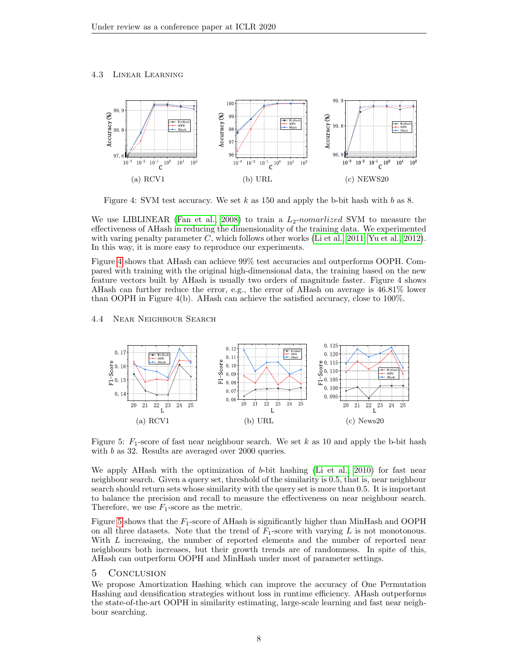## 4.3 Linear Learning



<span id="page-7-0"></span>Figure 4: SVM test accuracy. We set  $k$  as 150 and apply the b-bit hash with  $b$  as 8.

We use LIBLINEAR [\(Fan et al., 2008\)](#page-8-13) to train a  $L_2$ -nomarlized SVM to measure the effectiveness of AHash in reducing the dimensionality of the training data. We experimented with varing penalty parameter C, which follows other works [\(Li et al., 2011;](#page-9-0) [Yu et al., 2012\)](#page-9-2). In this way, it is more easy to reproduce our experiments.

Figure [4](#page-7-0) shows that AHash can achieve 99% test accuracies and outperforms OOPH. Compared with training with the original high-dimensional data, the training based on the new feature vectors built by AHash is usually two orders of magnitude faster. Figure 4 shows AHash can further reduce the error, e.g., the error of AHash on average is 46.81% lower than OOPH in Figure 4(b). AHash can achieve the satisfied accuracy, close to 100%.

### 4.4 Near Neighbour Search



<span id="page-7-1"></span>Figure 5:  $F_1$ -score of fast near neighbour search. We set k as 10 and apply the b-bit hash with *b* as 32. Results are averaged over 2000 queries.

We apply AHash with the optimization of  $b$ -bit hashing [\(Li et al., 2010\)](#page-9-4) for fast near neighbour search. Given a query set, threshold of the similarity is 0.5, that is, near neighbour search should return sets whose similarity with the query set is more than 0.5. It is important to balance the precision and recall to measure the effectiveness on near neighbour search. Therefore, we use  $F_1$ -score as the metric.

Figure [5](#page-7-1) shows that the  $F_1$ -score of AHash is significantly higher than MinHash and OOPH on all three datasets. Note that the trend of  $F_1$ -score with varying L is not monotonous. With L increasing, the number of reported elements and the number of reported near neighbours both increases, but their growth trends are of randomness. In spite of this, AHash can outperform OOPH and MinHash under most of parameter settings.

## 5 Conclusion

We propose Amortization Hashing which can improve the accuracy of One Permutation Hashing and densification strategies without loss in runtime efficiency. AHash outperforms the state-of-the-art OOPH in similarity estimating, large-scale learning and fast near neighbour searching.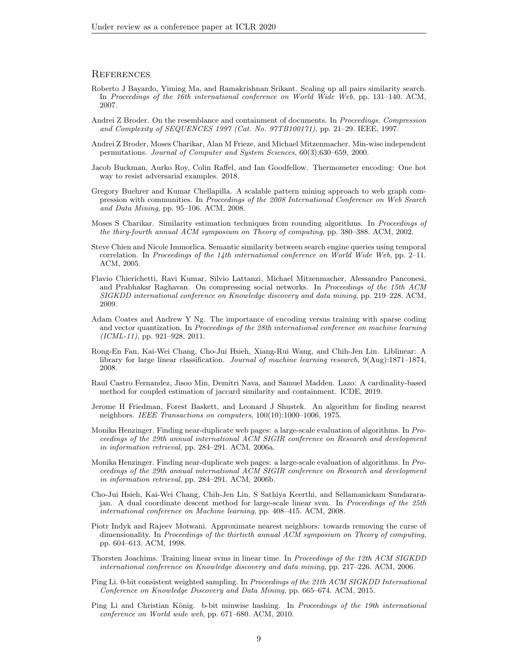## **REFERENCES**

- <span id="page-8-4"></span>Roberto J Bayardo, Yiming Ma, and Ramakrishnan Srikant. Scaling up all pairs similarity search. In Proceedings of the 16th international conference on World Wide Web, pp. 131–140. ACM, 2007.
- <span id="page-8-1"></span>Andrei Z Broder. On the resemblance and containment of documents. In Proceedings. Compression and Complexity of SEQUENCES 1997 (Cat. No. 97TB100171), pp. 21–29. IEEE, 1997.
- <span id="page-8-0"></span>Andrei Z Broder, Moses Charikar, Alan M Frieze, and Michael Mitzenmacher. Min-wise independent permutations. Journal of Computer and System Sciences, 60(3):630–659, 2000.
- <span id="page-8-17"></span>Jacob Buckman, Aurko Roy, Colin Raffel, and Ian Goodfellow. Thermometer encoding: One hot way to resist adversarial examples. 2018.
- <span id="page-8-10"></span>Gregory Buehrer and Kumar Chellapilla. A scalable pattern mining approach to web graph compression with communities. In Proceedings of the 2008 International Conference on Web Search and Data Mining, pp. 95–106. ACM, 2008.
- <span id="page-8-12"></span>Moses S Charikar. Similarity estimation techniques from rounding algorithms. In Proceedings of the thiry-fourth annual ACM symposium on Theory of computing, pp. 380–388. ACM, 2002.
- <span id="page-8-2"></span>Steve Chien and Nicole Immorlica. Semantic similarity between search engine queries using temporal correlation. In Proceedings of the 14th international conference on World Wide Web, pp. 2–11. ACM, 2005.
- <span id="page-8-11"></span>Flavio Chierichetti, Ravi Kumar, Silvio Lattanzi, Michael Mitzenmacher, Alessandro Panconesi, and Prabhakar Raghavan. On compressing social networks. In Proceedings of the 15th ACM SIGKDD international conference on Knowledge discovery and data mining, pp. 219–228. ACM, 2009.
- <span id="page-8-16"></span>Adam Coates and Andrew Y Ng. The importance of encoding versus training with sparse coding and vector quantization. In Proceedings of the 28th international conference on machine learning  $(ICML-11)$ , pp. 921–928, 2011.
- <span id="page-8-13"></span>Rong-En Fan, Kai-Wei Chang, Cho-Jui Hsieh, Xiang-Rui Wang, and Chih-Jen Lin. Liblinear: A library for large linear classification. Journal of machine learning research, 9(Aug):1871–1874, 2008.
- <span id="page-8-7"></span>Raul Castro Fernandez, Jisoo Min, Demitri Nava, and Samuel Madden. Lazo: A cardinality-based method for coupled estimation of jaccard similarity and containment. ICDE, 2019.
- <span id="page-8-18"></span>Jerome H Friedman, Forest Baskett, and Leonard J Shustek. An algorithm for finding nearest neighbors. IEEE Transactions on computers, 100(10):1000–1006, 1975.
- <span id="page-8-9"></span>Monika Henzinger. Finding near-duplicate web pages: a large-scale evaluation of algorithms. In Proceedings of the 29th annual international ACM SIGIR conference on Research and development in information retrieval, pp. 284–291. ACM, 2006a.
- <span id="page-8-3"></span>Monika Henzinger. Finding near-duplicate web pages: a large-scale evaluation of algorithms. In Proceedings of the 29th annual international ACM SIGIR conference on Research and development in information retrieval, pp. 284–291. ACM, 2006b.
- <span id="page-8-14"></span>Cho-Jui Hsieh, Kai-Wei Chang, Chih-Jen Lin, S Sathiya Keerthi, and Sellamanickam Sundararajan. A dual coordinate descent method for large-scale linear svm. In Proceedings of the 25th international conference on Machine learning, pp. 408–415. ACM, 2008.
- <span id="page-8-6"></span>Piotr Indyk and Rajeev Motwani. Approximate nearest neighbors: towards removing the curse of dimensionality. In Proceedings of the thirtieth annual ACM symposium on Theory of computing, pp. 604–613. ACM, 1998.
- <span id="page-8-15"></span>Thorsten Joachims. Training linear svms in linear time. In Proceedings of the 12th ACM SIGKDD international conference on Knowledge discovery and data mining, pp. 217–226. ACM, 2006.
- <span id="page-8-8"></span>Ping Li. 0-bit consistent weighted sampling. In Proceedings of the 21th ACM SIGKDD International Conference on Knowledge Discovery and Data Mining, pp. 665–674. ACM, 2015.
- <span id="page-8-5"></span>Ping Li and Christian König. b-bit minwise hashing. In Proceedings of the 19th international conference on World wide web, pp. 671–680. ACM, 2010.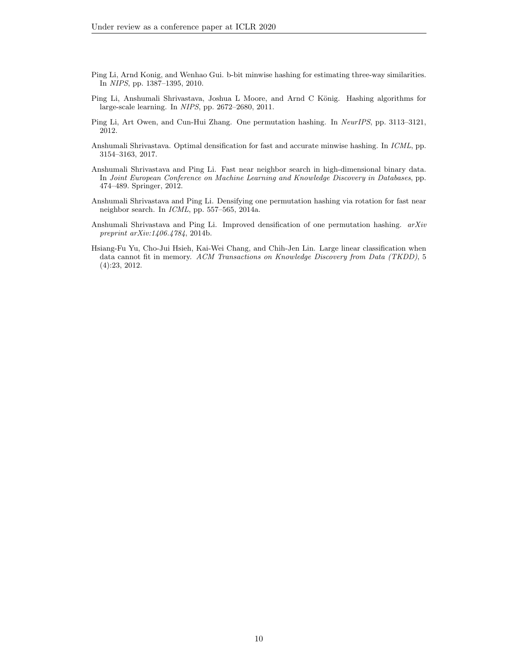- <span id="page-9-4"></span>Ping Li, Arnd Konig, and Wenhao Gui. b-bit minwise hashing for estimating three-way similarities. In NIPS, pp. 1387–1395, 2010.
- <span id="page-9-0"></span>Ping Li, Anshumali Shrivastava, Joshua L Moore, and Arnd C König. Hashing algorithms for large-scale learning. In NIPS, pp. 2672–2680, 2011.
- <span id="page-9-1"></span>Ping Li, Art Owen, and Cun-Hui Zhang. One permutation hashing. In NeurIPS, pp. 3113–3121, 2012.
- <span id="page-9-6"></span>Anshumali Shrivastava. Optimal densification for fast and accurate minwise hashing. In ICML, pp. 3154–3163, 2017.
- <span id="page-9-5"></span>Anshumali Shrivastava and Ping Li. Fast near neighbor search in high-dimensional binary data. In Joint European Conference on Machine Learning and Knowledge Discovery in Databases, pp. 474–489. Springer, 2012.
- <span id="page-9-3"></span>Anshumali Shrivastava and Ping Li. Densifying one permutation hashing via rotation for fast near neighbor search. In ICML, pp. 557–565, 2014a.
- <span id="page-9-7"></span>Anshumali Shrivastava and Ping Li. Improved densification of one permutation hashing. arXiv preprint arXiv:1406.4784, 2014b.
- <span id="page-9-2"></span>Hsiang-Fu Yu, Cho-Jui Hsieh, Kai-Wei Chang, and Chih-Jen Lin. Large linear classification when data cannot fit in memory. ACM Transactions on Knowledge Discovery from Data (TKDD), 5 (4):23, 2012.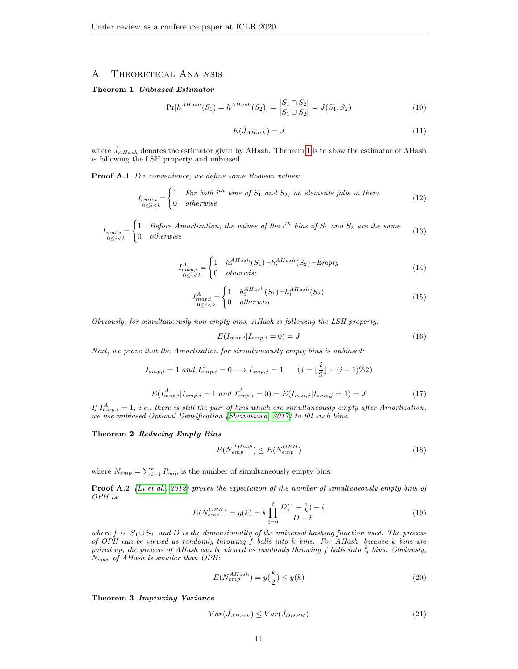# A Theoretical Analysis

## <span id="page-10-0"></span>Theorem 1 Unbiased Estimator

$$
\Pr[h^{AHash}(S_1) = h^{AHash}(S_2)] = \frac{|S_1 \cap S_2|}{|S_1 \cup S_2|} = J(S_1, S_2)
$$
\n(10)

$$
E(\hat{J}_{AHash}) = J \tag{11}
$$

where  $\hat{J}_{AHash}$  denotes the estimator given by AHash. Theorem [1](#page-10-0) is to show the estimator of AHash is following the LSH property and unbiased.

Proof A.1 For convenience, we define some Boolean values:

$$
I_{emp,i} = \begin{cases} 1 & \text{For both } i^{th} \text{ bins of } S_1 \text{ and } S_2, \text{ no elements falls in them} \\ 0 & \text{otherwise} \end{cases}
$$
 (12)

 $I_{mat,i} = \begin{cases} 1 & Before\ Amortization, \ the\ values\ of\ the\ i^{th}\ bins\ of\ S_1\ and\ S_2\ are\ the\ same\ 0 & otherwise \end{cases}$  (13)

$$
I_{emp,i}^A = \begin{cases} 1 & h_i^{AHash}(S_1) = h_i^{AHash}(S_2) = Empty \\ 0 & otherwise \end{cases}
$$
 (14)

$$
I_{mat,i}^A = \begin{cases} 1 & h_i^{Alash}(S_1) = h_i^{Alash}(S_2) \\ 0 & otherwise \end{cases}
$$
 (15)

Obviously, for simultaneously non-empty bins, AHash is following the LSH property:

$$
E(I_{mat,i}|I_{emp,i}=0) = J \tag{16}
$$

Next, we prove that the Amortization for simultaneously empty bins is unbiased:

$$
I_{emp,i} = 1 \text{ and } I_{emp,i}^{A} = 0 \longrightarrow I_{emp,j} = 1 \qquad (j = \lfloor \frac{i}{2} \rfloor + (i+1)\%2)
$$

$$
E(I_{mat,i}^{A}|I_{emp,i} = 1 \text{ and } I_{emp,i}^{A} = 0) = E(I_{mat,j}|I_{emp,j} = 1) = J \qquad (17)
$$

If  $I_{emp,i}^A = 1$ , i.e., there is still the pair of bins which are simultaneously empty after Amortization, we use unbiased Optimal Densification [\(Shrivastava, 2017\)](#page-9-6) to fill such bins.

Theorem 2 Reducing Empty Bins

$$
E(N_{emp}^{AHash}) \le E(N_{emp}^{OPH})
$$
\n(18)

where  $N_{emp} = \sum_{i=1}^{k} I_{emp}^{i}$  is the number of simultaneously empty bins.

Proof A.2 [\(Li et al., 2012\)](#page-9-1) proves the expectation of the number of simultaneously empty bins of OPH is:

$$
E(N_{emp}^{OPH}) = y(k) = k \prod_{i=0}^{f} \frac{D(1 - \frac{1}{k}) - i}{D - i}
$$
\n(19)

where f is  $|S_1 \cup S_2|$  and D is the dimensionality of the universal hashing function used. The process of OPH can be viewed as randomly throwing f balls into k bins. For AHash, because k bins are paired up, the process of AHash can be viewed as randomly throwing f balls into  $\frac{k}{2}$  bins. Obviously, Nemp of AHash is smaller than OPH:

$$
E(N_{emp}^{AHash}) = y(\frac{k}{2}) \le y(k)
$$
\n(20)

Theorem 3 Improving Variance

$$
Var(\hat{J}_{AHash}) \le Var(\hat{J}_{OOPH})
$$
\n(21)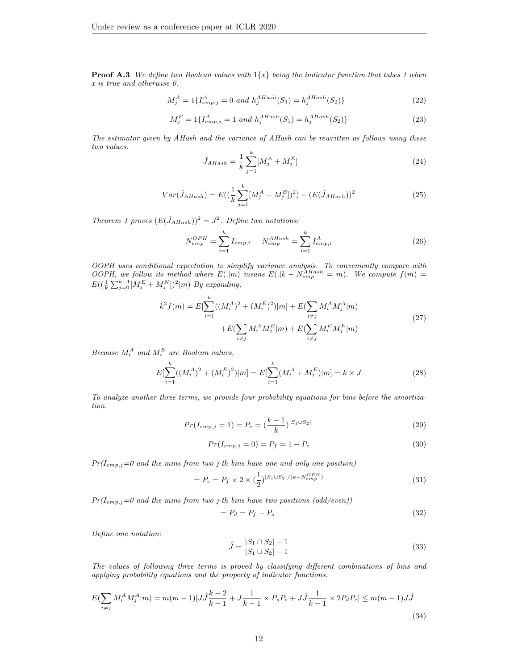**Proof A.3** We define two Boolean values with  $1\{x\}$  being the indicator function that takes 1 when x is true and otherwise 0.

$$
M_j^A = 1\{I_{emp,j}^A = 0 \text{ and } h_j^{AHash}(S_1) = h_j^{AHash}(S_2)\}\
$$
 (22)

$$
M_j^E = 1\{I_{emp,j}^A = 1 \text{ and } h_j^{AHash}(S_1) = h_j^{AHash}(S_2)\}\
$$
 (23)

The estimator given by AHash and the variance of AHash can be rewritten as follows using these two values.

$$
\hat{J}_{AHash} = \frac{1}{k} \sum_{j=1}^{k} [M_j^A + M_j^E]
$$
\n(24)

$$
Var(\hat{J}_{AHash}) = E\left(\left(\frac{1}{k}\sum_{j=1}^{k} [M_j^A + M_j^E]\right)^2\right) - \left(E(\hat{J}_{AHash})\right)^2\tag{25}
$$

Theorem 1 proves  $(E(\hat{J}_{AHash}))^2 = J^2$ . Define two notations:

$$
N_{emp}^{OPH} = \sum_{i=1}^{k} I_{emp,i} \qquad N_{emp}^{AHash} = \sum_{i=1}^{k} I_{emp,i}^{A}
$$
 (26)

OOPH uses conditional expectation to simplify variance analysis. To conveniently compare with OOPH, we follow its method where  $E(.|m)$  means  $E(.|k - N_{emp}^{AHash} = m)$ . We compute  $f(m) =$  $E((\frac{1}{k}\sum_{j=0}^{k-1}[M_j^E+M_j^N])^2|m)$  By expanding,

$$
k^{2} f(m) = E[\sum_{i=1}^{k} ((M_{i}^{A})^{2} + (M_{i}^{E})^{2})|m] + E(\sum_{i \neq j} M_{i}^{A} M_{j}^{A}|m) + E(\sum_{i \neq j} M_{i}^{A} M_{j}^{E}|m) + E(\sum_{i \neq j} M_{i}^{E} M_{j}^{E}|m)
$$
\n(27)

Because  $M_i^A$  and  $M_i^E$  are Boolean values,

$$
E[\sum_{i=1}^{k}((M_i^A)^2 + (M_i^E)^2)|m] = E[\sum_{i=1}^{k}(M_i^A + M_i^E)|m] = k \times J
$$
\n(28)

To analyze another three terms, we provide four probability equations for bins before the amortization.

$$
Pr(I_{emp,j} = 1) = P_e = \left(\frac{k-1}{k}\right)^{|S_1 \cup S_2|} \tag{29}
$$

$$
Pr(I_{emp,j} = 0) = P_f = 1 - P_e
$$
\n(30)

 $Pr(I_{emp,j}=0$  and the mins from two j-th bins have one and only one position)

$$
= P_s = P_f \times 2 \times (\frac{1}{2})^{|S_1 \cup S_2| / (k - N_{emp}^{OPH})}
$$
\n(31)

 $Pr(I_{emp,j}=0$  and the mins from two j-th bins have two positions  $(odd/even)$ 

$$
= P_d = P_f - P_s \tag{32}
$$

Define one notation:

$$
\hat{J} = \frac{|S_1 \cap S_2| - 1}{|S_1 \cup S_2| - 1} \tag{33}
$$

The values of following three terms is proved by classifying different combinations of bins and applying probability equations and the property of indicator functions.

$$
E\left(\sum_{i \neq j} M_i^A M_j^A | m\right) = m(m-1)[J\hat{J}\frac{k-2}{k-1} + J\frac{1}{k-1} \times P_s P_e + J\hat{J}\frac{1}{k-1} \times 2P_d P_e] \le m(m-1)J\hat{J}
$$
\n(34)